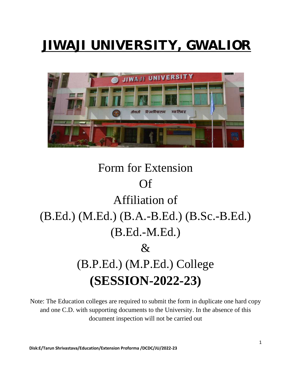# JIWAJI UNIVERSITY, GWALIOR



## Form for Extension Of Affiliation of (B.Ed.) (M.Ed.) (B.A.-B.Ed.) (B.Sc.-B.Ed.) (B.Ed.-M.Ed.)  $\mathcal{R}_{\mathcal{L}}$ (B.P.Ed.) (M.P.Ed.) College **(SESSION-2022-23)**

Note: The Education colleges are required to submit the form in duplicate one hard copy and one C.D. with supporting documents to the University. In the absence of this document inspection will not be carried out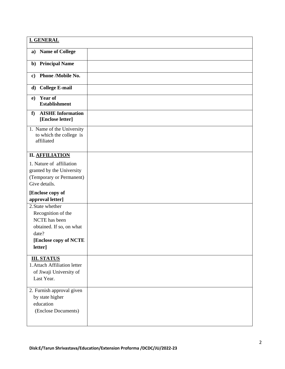| <b>I. GENERAL</b>                                                                                                                |  |
|----------------------------------------------------------------------------------------------------------------------------------|--|
| <b>Name of College</b><br>a)                                                                                                     |  |
| <b>Principal Name</b><br>$\mathbf{b}$                                                                                            |  |
| <b>Phone /Mobile No.</b><br>$\mathbf{c}$                                                                                         |  |
| <b>College E-mail</b><br>d)                                                                                                      |  |
| <b>Year of</b><br>e)<br><b>Establishment</b>                                                                                     |  |
| <b>AISHE Information</b><br>f<br>[Enclose letter]                                                                                |  |
| 1. Name of the University<br>to which the college is<br>affiliated                                                               |  |
| <b>II. AFFILIATION</b>                                                                                                           |  |
| 1. Nature of affiliation<br>granted by the University<br>(Temporary or Permanent)<br>Give details.                               |  |
| [Enclose copy of<br>approval letter]                                                                                             |  |
| 2. State whether<br>Recognition of the<br>NCTE has been<br>obtained. If so, on what<br>date?<br>[Enclose copy of NCTE<br>letter] |  |
|                                                                                                                                  |  |
| <b>III. STATUS</b><br>1. Attach Affiliation letter<br>of Jiwaji University of<br>Last Year.                                      |  |
| 2. Furnish approval given<br>by state higher<br>education<br>(Enclose Documents)                                                 |  |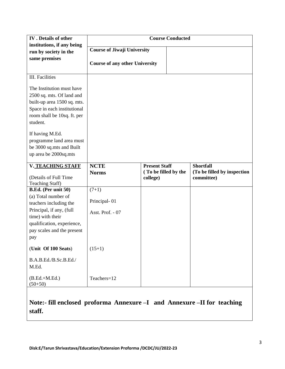| <b>IV</b> . Details of other<br>institutions, if any being                                                                                                      | <b>Course Conducted</b>               |                                                          |                                                               |  |  |  |  |
|-----------------------------------------------------------------------------------------------------------------------------------------------------------------|---------------------------------------|----------------------------------------------------------|---------------------------------------------------------------|--|--|--|--|
| run by society in the                                                                                                                                           | <b>Course of Jiwaji University</b>    |                                                          |                                                               |  |  |  |  |
| same premises                                                                                                                                                   | <b>Course of any other University</b> |                                                          |                                                               |  |  |  |  |
| III. Facilities                                                                                                                                                 |                                       |                                                          |                                                               |  |  |  |  |
| The Institution must have<br>2500 sq. mts. Of land and<br>built-up area 1500 sq. mts.<br>Space in each institutional<br>room shall be 10sq. ft. per<br>student. |                                       |                                                          |                                                               |  |  |  |  |
| If having M.Ed.<br>programme land area must<br>be 3000 sq.mts and Built<br>up area be 2000sq.mts                                                                |                                       |                                                          |                                                               |  |  |  |  |
| V. TEACHING STAFF<br>(Details of Full Time<br>Teaching Staff)                                                                                                   | <b>NCTE</b><br><b>Norms</b>           | <b>Present Staff</b><br>(To be filled by the<br>college) | <b>Shortfall</b><br>(To be filled by inspection<br>committee) |  |  |  |  |
| B.Ed. (Per unit 50)                                                                                                                                             | $(7+1)$                               |                                                          |                                                               |  |  |  |  |
| (a) Total number of<br>teachers including the                                                                                                                   | Principal-01                          |                                                          |                                                               |  |  |  |  |
| Principal, if any, (full<br>time) with their                                                                                                                    | Asst. Prof. - 07                      |                                                          |                                                               |  |  |  |  |
| qualification, experience,<br>pay scales and the present<br>pay                                                                                                 |                                       |                                                          |                                                               |  |  |  |  |
| (Unit Of 100 Seats)                                                                                                                                             | $(15+1)$                              |                                                          |                                                               |  |  |  |  |
| B.A.B.Ed./B.Sc.B.Ed./<br>M.Ed.                                                                                                                                  |                                       |                                                          |                                                               |  |  |  |  |
| $(B.Ed.+M.Ed.)$<br>$(50+50)$                                                                                                                                    | Teachers=12                           |                                                          |                                                               |  |  |  |  |

**Note:- fill enclosed proforma Annexure –I and Annexure –II for teaching staff.**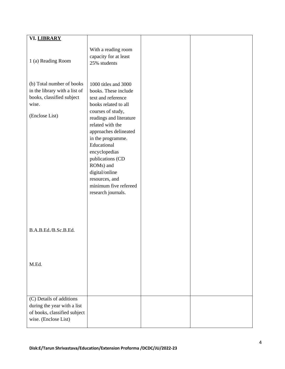| VI. LIBRARY                                                                                                        |                                                                                                                                                                                                                                                                                                                                                                  |  |
|--------------------------------------------------------------------------------------------------------------------|------------------------------------------------------------------------------------------------------------------------------------------------------------------------------------------------------------------------------------------------------------------------------------------------------------------------------------------------------------------|--|
| 1 (a) Reading Room                                                                                                 | With a reading room<br>capacity for at least<br>25% students                                                                                                                                                                                                                                                                                                     |  |
| (b) Total number of books<br>in the library with a list of<br>books, classified subject<br>wise.<br>(Enclose List) | 1000 titles and 3000<br>books. These include<br>text and reference<br>books related to all<br>courses of study,<br>readings and literature<br>related with the<br>approaches delineated<br>in the programme.<br>Educational<br>encyclopedias<br>publications (CD<br>ROMs) and<br>digital/online<br>resources, and<br>minimum five refereed<br>research journals. |  |
| B.A.B.Ed./B.Sc.B.Ed.                                                                                               |                                                                                                                                                                                                                                                                                                                                                                  |  |
| M.Ed.                                                                                                              |                                                                                                                                                                                                                                                                                                                                                                  |  |
| (C) Details of additions<br>during the year with a list<br>of books, classified subject<br>wise. (Enclose List)    |                                                                                                                                                                                                                                                                                                                                                                  |  |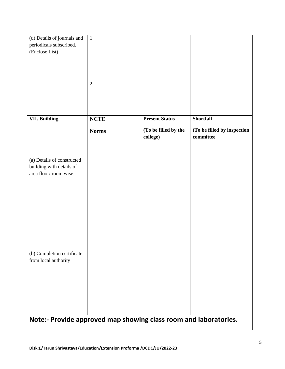| (d) Details of journals and                       | 1.           |                                                                  |                                          |  |  |  |  |  |  |  |
|---------------------------------------------------|--------------|------------------------------------------------------------------|------------------------------------------|--|--|--|--|--|--|--|
| periodicals subscribed.                           |              |                                                                  |                                          |  |  |  |  |  |  |  |
| (Enclose List)                                    |              |                                                                  |                                          |  |  |  |  |  |  |  |
|                                                   |              |                                                                  |                                          |  |  |  |  |  |  |  |
|                                                   |              |                                                                  |                                          |  |  |  |  |  |  |  |
|                                                   |              |                                                                  |                                          |  |  |  |  |  |  |  |
|                                                   |              |                                                                  |                                          |  |  |  |  |  |  |  |
|                                                   | 2.           |                                                                  |                                          |  |  |  |  |  |  |  |
|                                                   |              |                                                                  |                                          |  |  |  |  |  |  |  |
|                                                   |              |                                                                  |                                          |  |  |  |  |  |  |  |
|                                                   |              |                                                                  |                                          |  |  |  |  |  |  |  |
| <b>VII. Building</b>                              | <b>NCTE</b>  | <b>Present Status</b>                                            | <b>Shortfall</b>                         |  |  |  |  |  |  |  |
|                                                   | <b>Norms</b> | (To be filled by the<br>college)                                 | (To be filled by inspection<br>committee |  |  |  |  |  |  |  |
|                                                   |              |                                                                  |                                          |  |  |  |  |  |  |  |
| (a) Details of constructed                        |              |                                                                  |                                          |  |  |  |  |  |  |  |
| building with details of<br>area floor/room wise. |              |                                                                  |                                          |  |  |  |  |  |  |  |
|                                                   |              |                                                                  |                                          |  |  |  |  |  |  |  |
|                                                   |              |                                                                  |                                          |  |  |  |  |  |  |  |
|                                                   |              |                                                                  |                                          |  |  |  |  |  |  |  |
|                                                   |              |                                                                  |                                          |  |  |  |  |  |  |  |
|                                                   |              |                                                                  |                                          |  |  |  |  |  |  |  |
|                                                   |              |                                                                  |                                          |  |  |  |  |  |  |  |
|                                                   |              |                                                                  |                                          |  |  |  |  |  |  |  |
|                                                   |              |                                                                  |                                          |  |  |  |  |  |  |  |
|                                                   |              |                                                                  |                                          |  |  |  |  |  |  |  |
|                                                   |              |                                                                  |                                          |  |  |  |  |  |  |  |
|                                                   |              |                                                                  |                                          |  |  |  |  |  |  |  |
| (b) Completion certificate                        |              |                                                                  |                                          |  |  |  |  |  |  |  |
| from local authority                              |              |                                                                  |                                          |  |  |  |  |  |  |  |
|                                                   |              |                                                                  |                                          |  |  |  |  |  |  |  |
|                                                   |              |                                                                  |                                          |  |  |  |  |  |  |  |
|                                                   |              |                                                                  |                                          |  |  |  |  |  |  |  |
|                                                   |              |                                                                  |                                          |  |  |  |  |  |  |  |
|                                                   |              |                                                                  |                                          |  |  |  |  |  |  |  |
|                                                   |              |                                                                  |                                          |  |  |  |  |  |  |  |
|                                                   |              |                                                                  |                                          |  |  |  |  |  |  |  |
|                                                   |              | Note:- Provide approved map showing class room and laboratories. |                                          |  |  |  |  |  |  |  |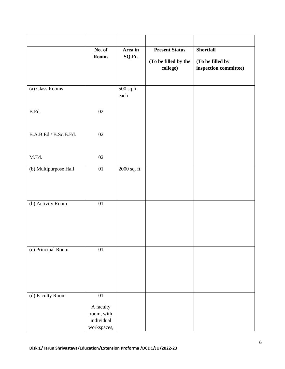|                       | No. of                  | Area in            | <b>Present Status</b> | <b>Shortfall</b>           |
|-----------------------|-------------------------|--------------------|-----------------------|----------------------------|
|                       | <b>Rooms</b>            | SQ.Ft.             | (To be filled by the  | (To be filled by           |
|                       |                         |                    | college)              | $\,$ inspection committee) |
|                       |                         |                    |                       |                            |
| (a) Class Rooms       |                         | 500 sq.ft.<br>each |                       |                            |
|                       |                         |                    |                       |                            |
| B.Ed.                 | 02                      |                    |                       |                            |
|                       |                         |                    |                       |                            |
| B.A.B.Ed./ B.Sc.B.Ed. | 02                      |                    |                       |                            |
|                       |                         |                    |                       |                            |
| M.Ed.                 | $02\,$                  |                    |                       |                            |
| (b) Multipurpose Hall | $01\,$                  | 2000 sq. ft.       |                       |                            |
|                       |                         |                    |                       |                            |
|                       |                         |                    |                       |                            |
|                       |                         |                    |                       |                            |
| (b) Activity Room     | $01\,$                  |                    |                       |                            |
|                       |                         |                    |                       |                            |
|                       |                         |                    |                       |                            |
|                       |                         |                    |                       |                            |
| (c) Principal Room    | 01                      |                    |                       |                            |
|                       |                         |                    |                       |                            |
|                       |                         |                    |                       |                            |
|                       |                         |                    |                       |                            |
|                       |                         |                    |                       |                            |
| (d) Faculty Room      | $\overline{01}$         |                    |                       |                            |
|                       | A faculty<br>room, with |                    |                       |                            |
|                       | individual              |                    |                       |                            |
|                       | workspaces,             |                    |                       |                            |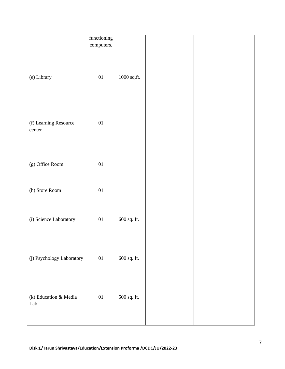|                           | functioning     |               |  |
|---------------------------|-----------------|---------------|--|
|                           | computers.      |               |  |
|                           |                 |               |  |
|                           |                 |               |  |
|                           |                 |               |  |
|                           |                 |               |  |
| (e) Library               | $01\,$          | $1000$ sq.ft. |  |
|                           |                 |               |  |
|                           |                 |               |  |
|                           |                 |               |  |
|                           |                 |               |  |
|                           |                 |               |  |
|                           |                 |               |  |
| (f) Learning Resource     | $\overline{01}$ |               |  |
| center                    |                 |               |  |
|                           |                 |               |  |
|                           |                 |               |  |
|                           |                 |               |  |
|                           |                 |               |  |
| (g) Office Room           | $\overline{01}$ |               |  |
|                           |                 |               |  |
|                           |                 |               |  |
| (h) Store Room            | 01              |               |  |
|                           |                 |               |  |
|                           |                 |               |  |
|                           |                 |               |  |
|                           |                 |               |  |
| (i) Science Laboratory    | $0 \\ 1$        | $600$ sq. ft. |  |
|                           |                 |               |  |
|                           |                 |               |  |
|                           |                 |               |  |
|                           |                 |               |  |
| (j) Psychology Laboratory | $01\,$          | $600$ sq. ft. |  |
|                           |                 |               |  |
|                           |                 |               |  |
|                           |                 |               |  |
|                           |                 |               |  |
|                           |                 |               |  |
| (k) Education & Media     | 01              | 500 sq. ft.   |  |
| Lab                       |                 |               |  |
|                           |                 |               |  |
|                           |                 |               |  |
|                           |                 |               |  |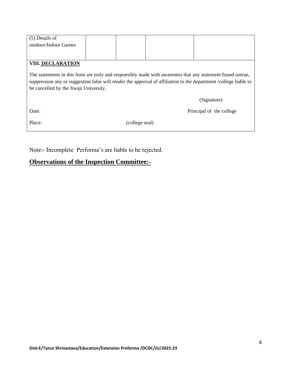| The statements in this from are truly and responsibly made with awareness that any statement found untrue,<br>suppression any or suggestion false will render the approval of affiliation to the department /college liable to<br>be cancelled by the Jiwaji University. |  |  |                          |  |  |  |  |  |
|--------------------------------------------------------------------------------------------------------------------------------------------------------------------------------------------------------------------------------------------------------------------------|--|--|--------------------------|--|--|--|--|--|
|                                                                                                                                                                                                                                                                          |  |  | (Signature)              |  |  |  |  |  |
|                                                                                                                                                                                                                                                                          |  |  | Principal of the college |  |  |  |  |  |
|                                                                                                                                                                                                                                                                          |  |  |                          |  |  |  |  |  |
|                                                                                                                                                                                                                                                                          |  |  | (college seal)           |  |  |  |  |  |

Note:- Incomplete Performa's are liable to be rejected.

#### **Observations of the Inspection Committee:-**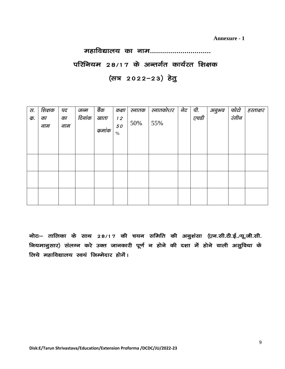**Annexure - 1**

### महाविद्यालय का नाम..............................

### परिनियम 28/17 के अन्तर्गत कार्यरत शिक्षक (सत्र 2022-23) हेतु

| रा.<br>क. | शिक्षक<br>का<br>नाम | पद<br>का<br>नाम | जन्म<br>दिनांक | बैंक<br>खाता<br>क्रमांक | कक्षा<br>12<br>50<br>$\%$ | स्नातक<br>50% | स्नातकोत्तर<br>55% | नेट | पी.<br>एचडी | अनुभव | फोटो<br>रंगीन | हस्ताक्षर |
|-----------|---------------------|-----------------|----------------|-------------------------|---------------------------|---------------|--------------------|-----|-------------|-------|---------------|-----------|
|           |                     |                 |                |                         |                           |               |                    |     |             |       |               |           |
|           |                     |                 |                |                         |                           |               |                    |     |             |       |               |           |

नोटः– तालिका के साथ 28/17 की चयन समिति की अनुशंसा (एन.सी.टी.ई./यू.जी.सी. नियमानुसार) संलग्न करे उक्त जानकारी पूर्ण न होने की दशा में होने वाली असुविधा के लिये महाविद्यालय स्वयं जिम्मेदार होगें।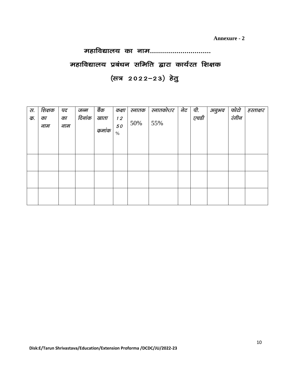**Annexure - 2**

## महाविद्यालय का नाम.............................. महाविद्यालय प्रबंधन समिति द्वारा कार्यरत शिक्षक (सत्र 2022-23) हेतु

| स. | शिक्षक    | पद        | जन्म   | बैंक            | कक्षा            | स्नातक | स्नातकोत्तर | नेट | पी.      | अनुभव | फोटो<br>रंगीन | हस्ताक्षर |
|----|-----------|-----------|--------|-----------------|------------------|--------|-------------|-----|----------|-------|---------------|-----------|
| क. | का<br>नाम | का<br>नाम | दिनांक | खाता<br>क्रमांक | 12<br>50<br>$\%$ | 50%    | 55%         |     | <br>एचडी |       |               |           |
|    |           |           |        |                 |                  |        |             |     |          |       |               |           |
|    |           |           |        |                 |                  |        |             |     |          |       |               |           |
|    |           |           |        |                 |                  |        |             |     |          |       |               |           |
|    |           |           |        |                 |                  |        |             |     |          |       |               |           |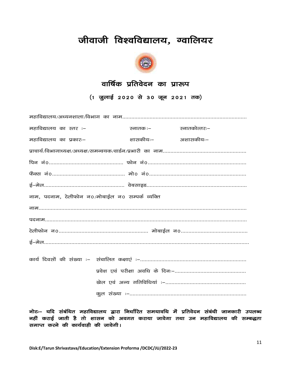### जीवाजी विश्वविद्यालय, ग्वालियर



### वार्षिक प्रतिवेदन का प्रारूप

(1 जुलाई 2020 से 30 जून 2021 तक)

| महाविद्यालय का स्तर :-                           | स्नातक :– | स्नातकोत्तरः– |
|--------------------------------------------------|-----------|---------------|
| महाविद्यालय का प्रकारः–                          | शासकीयः–  | अशासकीयः–     |
|                                                  |           |               |
|                                                  |           |               |
|                                                  |           |               |
|                                                  |           |               |
| नाम, पदनाम, टेलीफोन न0/मोबाईल न0 सम्पर्क व्यक्ति |           |               |
|                                                  |           |               |
|                                                  |           |               |
|                                                  |           |               |
|                                                  |           |               |
|                                                  |           |               |
|                                                  |           |               |
|                                                  |           |               |
|                                                  |           |               |

नोटः– यदि संबंधित महाविद्यालय द्वारा निर्धारित समयावधि में प्रतिवेदन संबंधी जानकारी उपलब्ध नहीं कराई जाती है तो शासन को अवगत कराया जावेगा तथा उन महाविद्यालय की सम्बद्धता समाप्त करने की कार्यवाही की जावेगी।